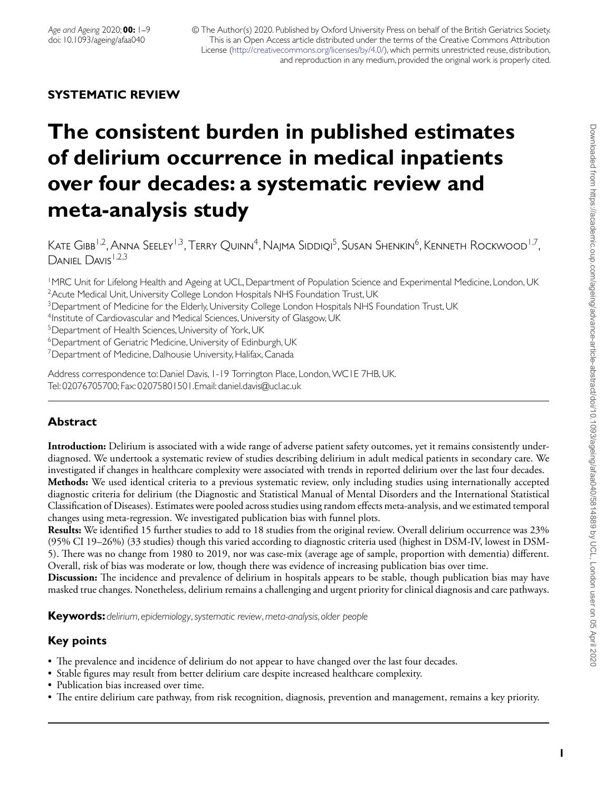# **SYSTEMATIC REVIEW**

# **The consistent burden in published estimates of delirium occurrence in medical inpatients over four decades: a systematic review and meta-analysis study**

Kate Gibb<sup>1,2</sup>, Anna Seeley<sup>1,3</sup>, Terry Quinn<sup>4</sup>, Najma Siddiqi<sup>5</sup>, Susan Shenkin<sup>6</sup>, Kenneth Rockwood<sup>1,7</sup>, DANIEL DAVIS<sup>1,2,3</sup>

<sup>1</sup>MRC Unit for Lifelong Health and Ageing at UCL, Department of Population Science and Experimental Medicine, London, UK <sup>2</sup> Acute Medical Unit, University College London Hospitals NHS Foundation Trust, UK

<sup>3</sup> Department of Medicine for the Elderly, University College London Hospitals NHS Foundation Trust, UK

<sup>4</sup>Institute of Cardiovascular and Medical Sciences, University of Glasgow, UK

5Department of Health Sciences, University of York, UK

6Department of Geriatric Medicine, University of Edinburgh, UK

7Department of Medicine, Dalhousie University, Halifax, Canada

Address correspondence to: Daniel Davis, 1-19 Torrington Place, London,WC1E 7HB, UK. Tel: 02076705700; Fax: 02075801501.Email: daniel.davis@ucl.ac.uk

# **Abstract**

**Introduction:** Delirium is associated with a wide range of adverse patient safety outcomes, yet it remains consistently underdiagnosed. We undertook a systematic review of studies describing delirium in adult medical patients in secondary care. We investigated if changes in healthcare complexity were associated with trends in reported delirium over the last four decades. **Methods:** We used identical criteria to a previous systematic review, only including studies using internationally accepted diagnostic criteria for delirium (the Diagnostic and Statistical Manual of Mental Disorders and the International Statistical Classification of Diseases). Estimates were pooled across studies using random effects meta-analysis, and we estimated temporal changes using meta-regression. We investigated publication bias with funnel plots.

**Results:** We identified 15 further studies to add to 18 studies from the original review. Overall delirium occurrence was 23% (95% CI 19–26%) (33 studies) though this varied according to diagnostic criteria used (highest in DSM-IV, lowest in DSM-5). There was no change from 1980 to 2019, nor was case-mix (average age of sample, proportion with dementia) different. Overall, risk of bias was moderate or low, though there was evidence of increasing publication bias over time.

**Discussion:** The incidence and prevalence of delirium in hospitals appears to be stable, though publication bias may have masked true changes. Nonetheless, delirium remains a challenging and urgent priority for clinical diagnosis and care pathways.

**Keywords:** *delirium*, *epidemiology*,*systematic review*, *meta-analysis*, *older people*

# **Key points**

- The prevalence and incidence of delirium do not appear to have changed over the last four decades.
- Stable figures may result from better delirium care despite increased healthcare complexity.
- Publication bias increased over time.
- The entire delirium care pathway, from risk recognition, diagnosis, prevention and management, remains a key priority.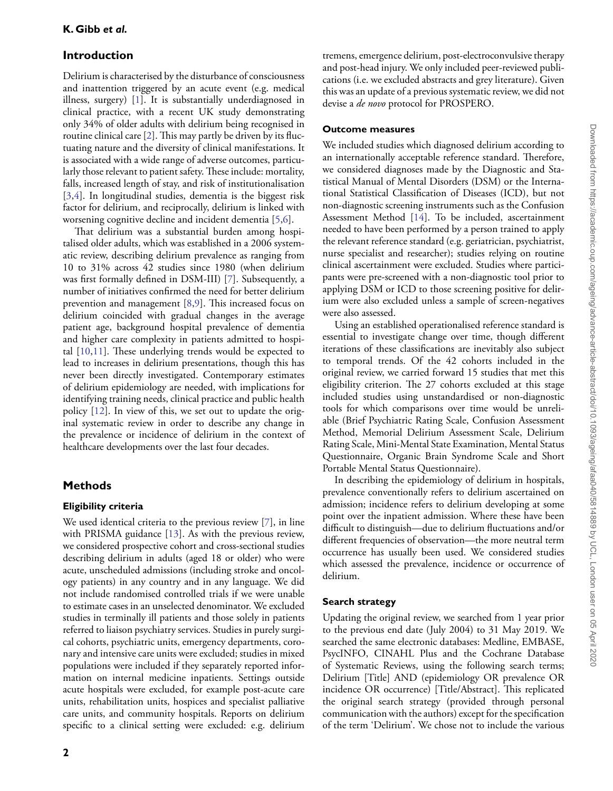# **Introduction**

Delirium is characterised by the disturbance of consciousness and inattention triggered by an acute event (e.g. medical illness, surgery) [\[1\]](#page-7-0). It is substantially underdiagnosed in clinical practice, with a recent UK study demonstrating only 34% of older adults with delirium being recognised in routine clinical care [\[2\]](#page-7-1). This may partly be driven by its fluctuating nature and the diversity of clinical manifestations. It is associated with a wide range of adverse outcomes, particularly those relevant to patient safety. These include: mortality, falls, increased length of stay, and risk of institutionalisation [\[3](#page-7-2)[,4\]](#page-7-3). In longitudinal studies, dementia is the biggest risk factor for delirium, and reciprocally, delirium is linked with worsening cognitive decline and incident dementia [\[5,](#page-7-4)[6\]](#page-7-5).

That delirium was a substantial burden among hospitalised older adults, which was established in a 2006 systematic review, describing delirium prevalence as ranging from 10 to 31% across 42 studies since 1980 (when delirium was first formally defined in DSM-III) [\[7\]](#page-7-6). Subsequently, a number of initiatives confirmed the need for better delirium prevention and management [\[8](#page-7-7)[,9\]](#page-7-8). This increased focus on delirium coincided with gradual changes in the average patient age, background hospital prevalence of dementia and higher care complexity in patients admitted to hospital [\[10](#page-7-9)[,11\]](#page-7-10). These underlying trends would be expected to lead to increases in delirium presentations, though this has never been directly investigated. Contemporary estimates of delirium epidemiology are needed, with implications for identifying training needs, clinical practice and public health policy [\[12\]](#page-8-0). In view of this, we set out to update the original systematic review in order to describe any change in the prevalence or incidence of delirium in the context of healthcare developments over the last four decades.

# **Methods**

## **Eligibility criteria**

We used identical criteria to the previous review [\[7\]](#page-7-6), in line with PRISMA guidance [\[13\]](#page-8-1). As with the previous review, we considered prospective cohort and cross-sectional studies describing delirium in adults (aged 18 or older) who were acute, unscheduled admissions (including stroke and oncology patients) in any country and in any language. We did not include randomised controlled trials if we were unable to estimate cases in an unselected denominator. We excluded studies in terminally ill patients and those solely in patients referred to liaison psychiatry services. Studies in purely surgical cohorts, psychiatric units, emergency departments, coronary and intensive care units were excluded; studies in mixed populations were included if they separately reported information on internal medicine inpatients. Settings outside acute hospitals were excluded, for example post-acute care units, rehabilitation units, hospices and specialist palliative care units, and community hospitals. Reports on delirium specific to a clinical setting were excluded: e.g. delirium

tremens, emergence delirium, post-electroconvulsive therapy and post-head injury. We only included peer-reviewed publications (i.e. we excluded abstracts and grey literature). Given this was an update of a previous systematic review, we did not devise a *de novo* protocol for PROSPERO.

## **Outcome measures**

We included studies which diagnosed delirium according to an internationally acceptable reference standard. Therefore, we considered diagnoses made by the Diagnostic and Statistical Manual of Mental Disorders (DSM) or the International Statistical Classification of Diseases (ICD), but not non-diagnostic screening instruments such as the Confusion Assessment Method [\[14\]](#page-8-2). To be included, ascertainment needed to have been performed by a person trained to apply the relevant reference standard (e.g. geriatrician, psychiatrist, nurse specialist and researcher); studies relying on routine clinical ascertainment were excluded. Studies where participants were pre-screened with a non-diagnostic tool prior to applying DSM or ICD to those screening positive for delirium were also excluded unless a sample of screen-negatives were also assessed.

Using an established operationalised reference standard is essential to investigate change over time, though different iterations of these classifications are inevitably also subject to temporal trends. Of the 42 cohorts included in the original review, we carried forward 15 studies that met this eligibility criterion. The 27 cohorts excluded at this stage included studies using unstandardised or non-diagnostic tools for which comparisons over time would be unreliable (Brief Psychiatric Rating Scale, Confusion Assessment Method, Memorial Delirium Assessment Scale, Delirium Rating Scale, Mini-Mental State Examination, Mental Status Questionnaire, Organic Brain Syndrome Scale and Short Portable Mental Status Questionnaire).

In describing the epidemiology of delirium in hospitals, prevalence conventionally refers to delirium ascertained on admission; incidence refers to delirium developing at some point over the inpatient admission. Where these have been difficult to distinguish—due to delirium fluctuations and/or different frequencies of observation—the more neutral term occurrence has usually been used. We considered studies which assessed the prevalence, incidence or occurrence of delirium.

## **Search strategy**

Updating the original review, we searched from 1 year prior to the previous end date (July 2004) to 31 May 2019. We searched the same electronic databases: Medline, EMBASE, PsycINFO, CINAHL Plus and the Cochrane Database of Systematic Reviews, using the following search terms; Delirium [Title] AND (epidemiology OR prevalence OR incidence OR occurrence) [Title/Abstract]. This replicated the original search strategy (provided through personal communication with the authors) except for the specification of the term 'Delirium'. We chose not to include the various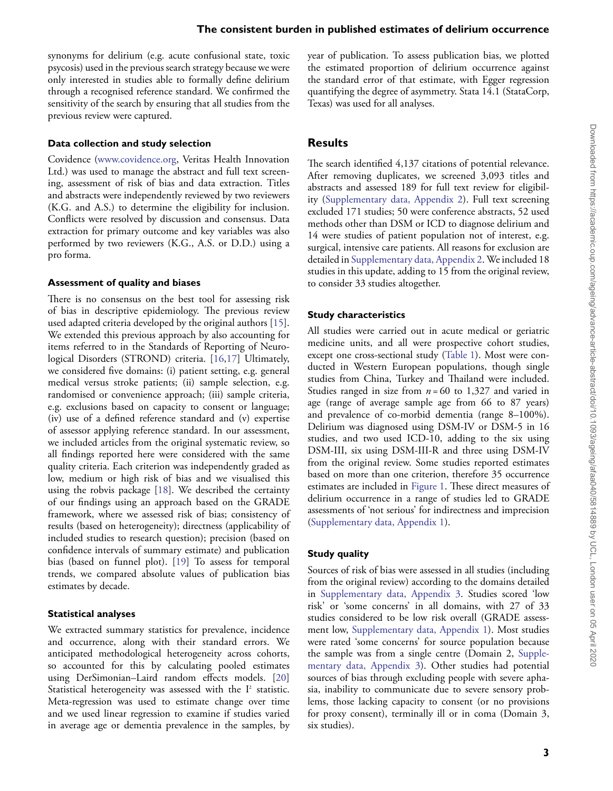#### **The consistent burden in published estimates of delirium occurrence**

synonyms for delirium (e.g. acute confusional state, toxic psycosis) used in the previous search strategy because we were only interested in studies able to formally define delirium through a recognised reference standard. We confirmed the sensitivity of the search by ensuring that all studies from the previous review were captured.

#### **Data collection and study selection**

Covidence [\(www.covidence.org,](www.covidence.org) Veritas Health Innovation Ltd.) was used to manage the abstract and full text screening, assessment of risk of bias and data extraction. Titles and abstracts were independently reviewed by two reviewers (K.G. and A.S.) to determine the eligibility for inclusion. Conflicts were resolved by discussion and consensus. Data extraction for primary outcome and key variables was also performed by two reviewers (K.G., A.S. or D.D.) using a pro forma.

#### **Assessment of quality and biases**

There is no consensus on the best tool for assessing risk of bias in descriptive epidemiology. The previous review used adapted criteria developed by the original authors [\[15\]](#page-8-3). We extended this previous approach by also accounting for items referred to in the Standards of Reporting of Neurological Disorders (STROND) criteria. [\[16](#page-8-4)[,17\]](#page-8-5) Ultimately, we considered five domains: (i) patient setting, e.g. general medical versus stroke patients; (ii) sample selection, e.g. randomised or convenience approach; (iii) sample criteria, e.g. exclusions based on capacity to consent or language; (iv) use of a defined reference standard and (v) expertise of assessor applying reference standard. In our assessment, we included articles from the original systematic review, so all findings reported here were considered with the same quality criteria. Each criterion was independently graded as low, medium or high risk of bias and we visualised this using the robvis package [\[18\]](#page-8-6). We described the certainty of our findings using an approach based on the GRADE framework, where we assessed risk of bias; consistency of results (based on heterogeneity); directness (applicability of included studies to research question); precision (based on confidence intervals of summary estimate) and publication bias (based on funnel plot). [\[19\]](#page-8-7) To assess for temporal trends, we compared absolute values of publication bias estimates by decade.

#### **Statistical analyses**

We extracted summary statistics for prevalence, incidence and occurrence, along with their standard errors. We anticipated methodological heterogeneity across cohorts, so accounted for this by calculating pooled estimates using DerSimonian–Laird random effects models. [\[20\]](#page-8-8) Statistical heterogeneity was assessed with the  $I^2$  statistic. Meta-regression was used to estimate change over time and we used linear regression to examine if studies varied in average age or dementia prevalence in the samples, by year of publication. To assess publication bias, we plotted the estimated proportion of delirium occurrence against the standard error of that estimate, with Egger regression quantifying the degree of asymmetry. Stata 14.1 (StataCorp, Texas) was used for all analyses.

## **Results**

The search identified 4,137 citations of potential relevance. After removing duplicates, we screened 3,093 titles and abstracts and assessed 189 for full text review for eligibility [\(Supplementary data, Appendix 2\)](https://academic.oup.com/ageing/article-lookup/doi/10.1093/ageing/afaa040#supplementary-data). Full text screening excluded 171 studies; 50 were conference abstracts, 52 used methods other than DSM or ICD to diagnose delirium and 14 were studies of patient population not of interest, e.g. surgical, intensive care patients. All reasons for exclusion are detailed in [Supplementary data, Appendix 2.](https://academic.oup.com/ageing/article-lookup/doi/10.1093/ageing/afaa040#supplementary-data) We included 18 studies in this update, adding to 15 from the original review, to consider 33 studies altogether.

#### **Study characteristics**

All studies were carried out in acute medical or geriatric medicine units, and all were prospective cohort studies, except one cross-sectional study [\(Table 1\)](#page-3-0). Most were conducted in Western European populations, though single studies from China, Turkey and Thailand were included. Studies ranged in size from *n* = 60 to 1,327 and varied in age (range of average sample age from 66 to 87 years) and prevalence of co-morbid dementia (range 8–100%). Delirium was diagnosed using DSM-IV or DSM-5 in 16 studies, and two used ICD-10, adding to the six using DSM-III, six using DSM-III-R and three using DSM-IV from the original review. Some studies reported estimates based on more than one criterion, therefore 35 occurrence estimates are included in [Figure 1.](#page-4-0) These direct measures of delirium occurrence in a range of studies led to GRADE assessments of 'not serious' for indirectness and imprecision [\(Supplementary data, Appendix 1\)](https://academic.oup.com/ageing/article-lookup/doi/10.1093/ageing/afaa040#supplementary-data).

#### **Study quality**

Sources of risk of bias were assessed in all studies (including from the original review) according to the domains detailed in [Supplementary data, Appendix 3.](https://academic.oup.com/ageing/article-lookup/doi/10.1093/ageing/afaa040#supplementary-data) Studies scored 'low risk' or 'some concerns' in all domains, with 27 of 33 studies considered to be low risk overall (GRADE assessment low, [Supplementary data, Appendix 1\)](https://academic.oup.com/ageing/article-lookup/doi/10.1093/ageing/afaa040#supplementary-data). Most studies were rated 'some concerns' for source population because the sample was from a single centre (Domain 2, Supple[mentary data, Appendix 3\). Other studies had potential](https://academic.oup.com/ageing/article-lookup/doi/10.1093/ageing/afaa040#supplementary-data) sources of bias through excluding people with severe aphasia, inability to communicate due to severe sensory problems, those lacking capacity to consent (or no provisions for proxy consent), terminally ill or in coma (Domain 3, six studies).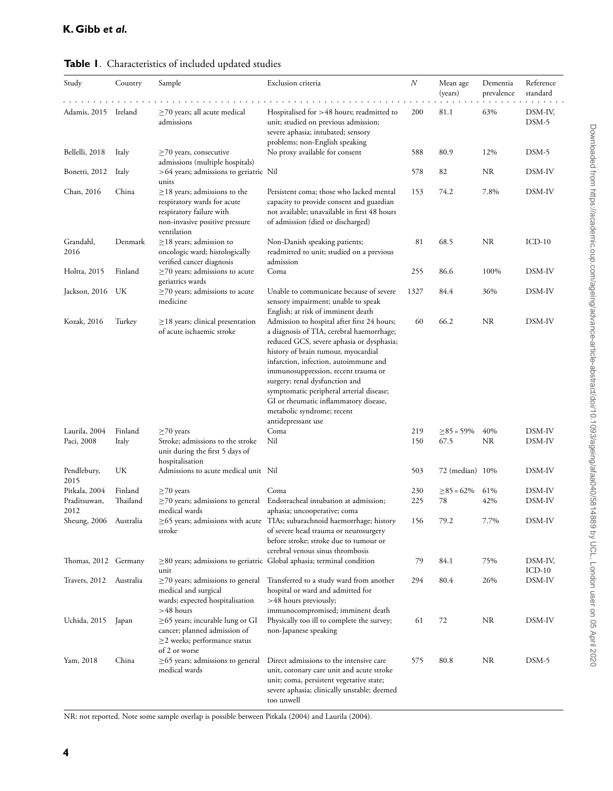# **K. Gibb** *et al.*

| Study                       | Country          | Sample                                                                                                                                         | Exclusion criteria                                                                                                                                                                                                                                                                                                                                                                                                                      | N          | Mean age<br>(years)     | Dementia<br>prevalence | Reference<br>standard |
|-----------------------------|------------------|------------------------------------------------------------------------------------------------------------------------------------------------|-----------------------------------------------------------------------------------------------------------------------------------------------------------------------------------------------------------------------------------------------------------------------------------------------------------------------------------------------------------------------------------------------------------------------------------------|------------|-------------------------|------------------------|-----------------------|
| Adamis, 2015 Ireland        |                  | $\geq$ 70 years; all acute medical<br>admissions                                                                                               | Hospitalised for >48 hours; readmitted to<br>unit; studied on previous admission;<br>severe aphasia; intubated; sensory<br>problems; non-English speaking                                                                                                                                                                                                                                                                               | 200        | 81.1                    | 63%                    | DSM-IV,<br>DSM-5      |
| Bellelli, 2018              | Italy            | $\geq$ 70 years, consecutive<br>admissions (multiple hospitals)                                                                                | No proxy available for consent                                                                                                                                                                                                                                                                                                                                                                                                          | 588        | 80.9                    | 12%                    | DSM-5                 |
| Bonetti, 2012               | <b>Italy</b>     | >64 years; admissions to geriatric Nil<br>units                                                                                                |                                                                                                                                                                                                                                                                                                                                                                                                                                         | 578        | 82                      | NR                     | DSM-IV                |
| Chan, 2016                  | China            | $\geq$ 18 years; admissions to the<br>respiratory wards for acute<br>respiratory failure with<br>non-invasive positive pressure<br>ventilation | Persistent coma; those who lacked mental<br>capacity to provide consent and guardian<br>not available; unavailable in first 48 hours<br>of admission (died or discharged)                                                                                                                                                                                                                                                               | 153        | 74.2                    | 7.8%                   | DSM-IV                |
| Grandahl,<br>2016           | Denmark          | $\geq$ 18 years; admission to<br>oncologic ward; histologically<br>verified cancer diagnosis                                                   | Non-Danish speaking patients;<br>readmitted to unit; studied on a previous<br>admission                                                                                                                                                                                                                                                                                                                                                 | 81         | 68.5                    | <b>NR</b>              | $ICD-10$              |
| Holtta, 2015                | Finland          | $\geq$ 70 years; admissions to acute<br>geriatrics wards                                                                                       | Coma                                                                                                                                                                                                                                                                                                                                                                                                                                    | 255        | 86.6                    | 100%                   | DSM-IV                |
| Jackson, 2016               | UK               | $\geq$ 70 years; admissions to acute<br>medicine                                                                                               | Unable to communicate because of severe<br>sensory impairment; unable to speak<br>English; at risk of imminent death                                                                                                                                                                                                                                                                                                                    | 1327       | 84.4                    | 36%                    | DSM-IV                |
| Kozak, 2016                 | Turkey           | $\geq$ 18 years; clinical presentation<br>of acute ischaemic stroke                                                                            | Admission to hospital after first 24 hours;<br>a diagnosis of TIA, cerebral haemorrhage;<br>reduced GCS, severe aphasia or dysphasia;<br>history of brain tumour, myocardial<br>infarction, infection, autoimmune and<br>immunosuppression, recent trauma or<br>surgery; renal dysfunction and<br>symptomatic peripheral arterial disease;<br>GI or rheumatic inflammatory disease,<br>metabolic syndrome; recent<br>antidepressant use | 60         | 66.2                    | <b>NR</b>              | DSM-IV                |
| Laurila, 2004<br>Paci, 2008 | Finland<br>Italy | $\geq$ 70 years<br>Stroke; admissions to the stroke<br>unit during the first 5 days of<br>hospitalisation                                      | Coma<br>Nil                                                                                                                                                                                                                                                                                                                                                                                                                             | 219<br>150 | $\geq$ 85 = 59%<br>67.5 | 40%<br><b>NR</b>       | DSM-IV<br>DSM-IV      |
| Pendlebury,<br>2015         | UK               | Admissions to acute medical unit Nil                                                                                                           |                                                                                                                                                                                                                                                                                                                                                                                                                                         | 503        | 72 (median) 10%         |                        | DSM-IV                |
| Pitkala, 2004               | Finland          | $\geq$ 70 years                                                                                                                                | Coma                                                                                                                                                                                                                                                                                                                                                                                                                                    | 230        | $\geq$ 85 = 62%         | 61%                    | DSM-IV                |
| Praditsuwan,<br>2012        | Thailand         | medical wards                                                                                                                                  | $\geq$ 70 years; admissions to general Endotracheal intubation at admission;<br>aphasia; uncooperative; coma                                                                                                                                                                                                                                                                                                                            | 225        | 78                      | 42%                    | DSM-IV                |
| Sheung, 2006                | Australia        | stroke                                                                                                                                         | ≥65 years; admissions with acute   TIAs; subarachnoid haemorrhage; history<br>of severe head trauma or neurosurgery<br>before stroke; stroke due to tumour or<br>cerebral venous sinus thrombosis                                                                                                                                                                                                                                       | 156        | 79.2                    | 7.7%                   | DSM-IV                |
| Thomas, 2012 Germany        |                  | unit                                                                                                                                           | $\geq$ 80 years; admissions to geriatric Global aphasia; terminal condition                                                                                                                                                                                                                                                                                                                                                             | 79         | 84.1                    | 75%                    | DSM-IV,<br>$ICD-10$   |
| Travers, 2012 Australia     |                  | $\geq$ 70 years; admissions to general<br>medical and surgical<br>wards; expected hospitalisation<br>$>48$ hours                               | Transferred to a study ward from another<br>hospital or ward and admitted for<br>>48 hours previously;<br>immunocompromised; imminent death                                                                                                                                                                                                                                                                                             | 294        | 80.4                    | 26%                    | DSM-IV                |
| Uchida, 2015                | Japan            | $\geq$ 65 years; incurable lung or GI<br>cancer; planned admission of<br>$\geq$ 2 weeks; performance status<br>of 2 or worse                   | Physically too ill to complete the survey;<br>non-Japanese speaking                                                                                                                                                                                                                                                                                                                                                                     | 61         | 72                      | NR                     | DSM-IV                |
| Yam, 2018                   | China            | $\geq$ 65 years; admissions to general<br>medical wards                                                                                        | Direct admissions to the intensive care<br>unit, coronary care unit and acute stroke<br>unit; coma, persistent vegetative state;<br>severe aphasia; clinically unstable; deemed<br>too unwell                                                                                                                                                                                                                                           | 575        | 80.8                    | <b>NR</b>              | DSM-5                 |

## <span id="page-3-0"></span>**Table 1**. Characteristics of included updated studies

NR: not reported. Note some sample overlap is possible between Pitkala (2004) and Laurila (2004).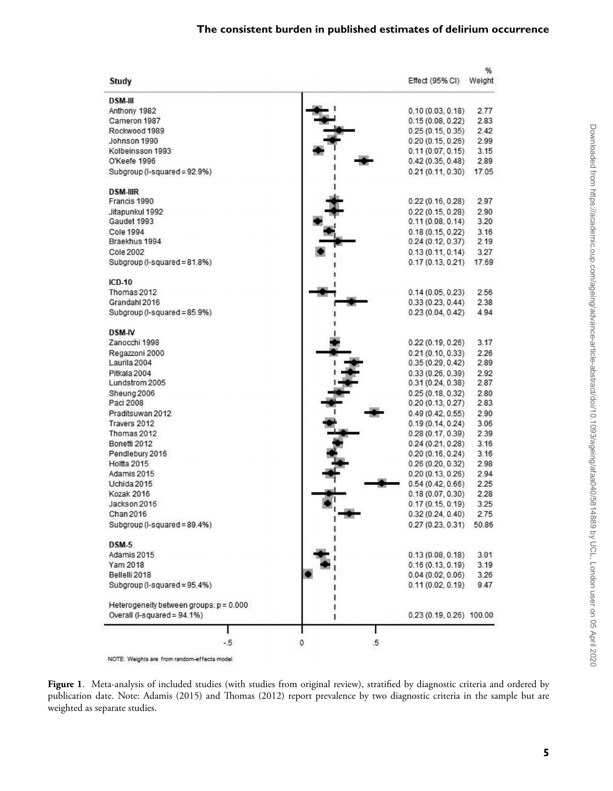## **The consistent burden in published estimates of delirium occurrence**

| <b>DSM-III</b><br>Anthony 1982<br>Cameron 1987<br>Rockwood 1989<br>Johnson 1990 | 0.10(0.03, 0.18)                     |               |
|---------------------------------------------------------------------------------|--------------------------------------|---------------|
|                                                                                 |                                      |               |
|                                                                                 |                                      | 2.77          |
|                                                                                 | 0.15(0.08, 0.22)                     | 2.83          |
|                                                                                 | 0.25(0.15, 0.35)                     | 2.42          |
|                                                                                 | 0.20(0.15, 0.26)                     | 2.99          |
| Kolbeinsson 1993                                                                | 0.11(0.07, 0.15)                     | 3.15          |
| O'Keefe 1996                                                                    | 0.42(0.35, 0.48)                     | 2.89          |
| Subgroup (I-squared = 92.9%)                                                    | 0.21(0.11, 0.30)                     | 17.05         |
| <b>DSM-IIR</b>                                                                  |                                      |               |
| Francis 1990                                                                    | 0.22(0.16, 0.28)                     | 2.97          |
| Jitapunkul 1992                                                                 | 0.22(0.15, 0.28)                     | 2.90          |
| Gaudet 1993                                                                     | 0.11(0.08, 0.14)                     | 3.20          |
| <b>Cole 1994</b>                                                                | 0.18(0.15, 0.22)                     | 3.16          |
| Braekhus 1994                                                                   |                                      | 2.19          |
|                                                                                 | 0.24(0.12, 0.37)                     |               |
| <b>Cole 2002</b>                                                                | 0.13(0.11, 0.14)                     | 3.27          |
| Subgroup (I-squared = 81.8%)                                                    | 0.17(0.13, 0.21)                     | 17.69         |
| $ICD-10$                                                                        |                                      |               |
| Thomas 2012                                                                     | 0.14(0.05, 0.23)                     | 2.56          |
| Grandahl 2016                                                                   | 0.33(0.23, 0.44)                     | 2.38          |
| Subgroup (I-squared = 85.9%)                                                    | 0.23(0.04, 0.42)                     | 4.94          |
| <b>DSM-IV</b>                                                                   |                                      |               |
| Zanocchi 1998                                                                   | 0.22(0.19, 0.26)                     | 3.17          |
| Regazzoni 2000                                                                  | 0.21(0.10, 0.33)                     | 2.26          |
| Laurila 2004                                                                    | 0.35(0.29, 0.42)                     | 2.89          |
| Pitkala 2004                                                                    | 0.33(0.26, 0.39)                     | 2.92          |
| Lundstrom 2005                                                                  | 0.31(0.24, 0.38)                     | 2.87          |
| Sheung 2006                                                                     | 0.25(0.18, 0.32)                     | 2.80          |
| Paci 2008                                                                       | 0.20(0.13, 0.27)                     | 2.83          |
| Praditsuwan 2012                                                                | 0.49(0.42, 0.55)                     | 2.90          |
| Travers 2012                                                                    | 0.19(0.14, 0.24)                     | 3.06          |
| Thomas 2012                                                                     | 0.28(0.17, 0.39)                     | 2.39          |
| Bonetti 2012                                                                    | 0.24(0.21, 0.28)                     | 3.16          |
| Pendlebury 2016                                                                 | 0.20(0.16, 0.24)                     | 3.16          |
| <b>Holtta 2015</b>                                                              | 0.26(0.20, 0.32)                     | 2.98          |
| Adamis 2015                                                                     | 0.20(0.13, 0.26)                     | 2.94          |
| Uchida 2015                                                                     | 0.54(0.42, 0.66)                     | 2.25          |
| <b>Kozak 2016</b>                                                               | 0.18(0.07, 0.30)                     | 2.28          |
|                                                                                 |                                      |               |
| Jackson 2016                                                                    | 0.17(0.15, 0.19)                     | 3.25          |
| Chan 2016<br>Subgroup (I-squared = 89.4%)                                       | 0.32(0.24, 0.40)<br>0.27(0.23, 0.31) | 2.75<br>50.86 |
| DSM-5                                                                           |                                      |               |
|                                                                                 |                                      |               |
| Adamis 2015                                                                     | 0.13(0.08, 0.18)                     | 3.01          |
| Yam 2018                                                                        | 0.16(0.13, 0.19)                     | 3.19          |
| Bellelli 2018                                                                   | 0.04(0.02, 0.06)                     | 3.26          |
| Subgroup (I-squared = 95.4%)                                                    | 0.11(0.02, 0.19)                     | 9.47          |
| Heterogeneity between groups: $p = 0.000$                                       |                                      |               |
| Overall (I-squared = 94.1%)                                                     | 0.23 (0.19, 0.26) 100.00             |               |

NOTE: Weights are from random-effects model

<span id="page-4-0"></span>Figure 1. Meta-analysis of included studies (with studies from original review), stratified by diagnostic criteria and ordered by publication date. Note: Adamis (2015) and Thomas (2012) report prevalence by two diagnostic criteria in the sample but are weighted as separate studies.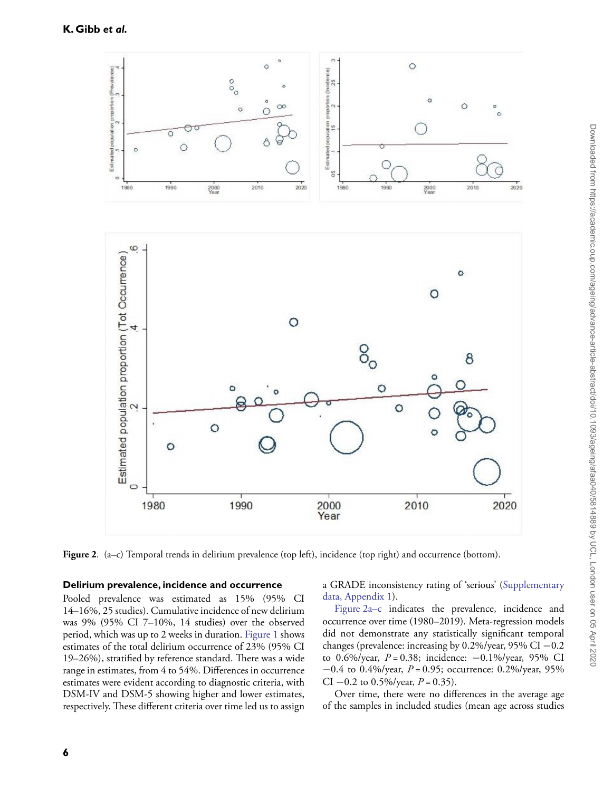

<span id="page-5-0"></span>Figure 2. (a-c) Temporal trends in delirium prevalence (top left), incidence (top right) and occurrence (bottom).

### **Delirium prevalence, incidence and occurrence**

Pooled prevalence was estimated as 15% (95% CI 14–16%, 25 studies). Cumulative incidence of new delirium was 9% (95% CI 7–10%, 14 studies) over the observed period, which was up to 2 weeks in duration. [Figure 1](#page-4-0) shows estimates of the total delirium occurrence of 23% (95% CI 19–26%), stratified by reference standard. There was a wide range in estimates, from 4 to 54%. Differences in occurrence estimates were evident according to diagnostic criteria, with DSM-IV and DSM-5 showing higher and lower estimates, respectively. These different criteria over time led us to assign

[a GRADE inconsistency rating of 'serious' \(Supplementary](https://academic.oup.com/ageing/article-lookup/doi/10.1093/ageing/afaa040#supplementary-data) data, Appendix 1).

[Figure 2a–c](#page-5-0) indicates the prevalence, incidence and occurrence over time (1980–2019). Meta-regression models did not demonstrate any statistically significant temporal changes (prevalence: increasing by  $0.2\%$ /year, 95% CI  $-0.2$ to 0.6%/year, *P* = 0.38; incidence: −0.1%/year, 95% CI −0.4 to 0.4%/year, *P* = 0.95; occurrence: 0.2%/year, 95% CI −0.2 to 0.5%/year, *P* = 0.35).

Over time, there were no differences in the average age of the samples in included studies (mean age across studies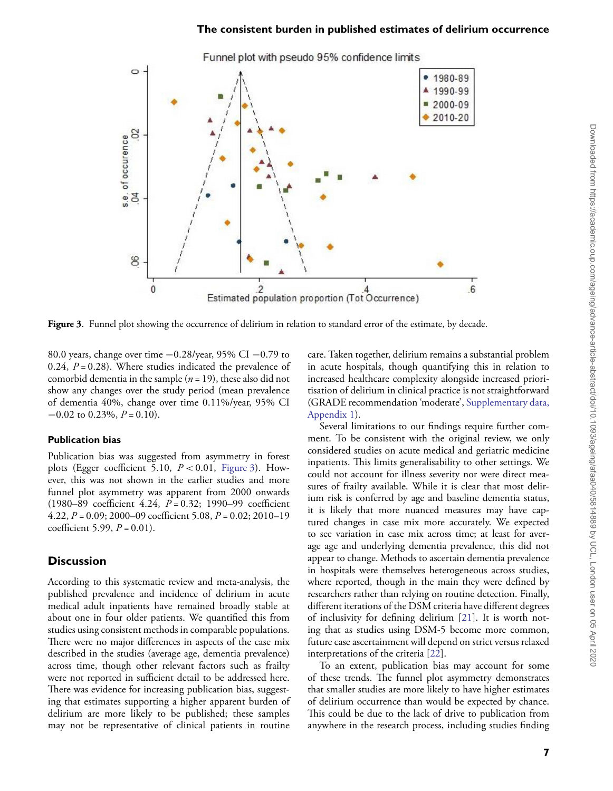

<span id="page-6-0"></span>**Figure 3**. Funnel plot showing the occurrence of delirium in relation to standard error of the estimate, by decade.

80.0 years, change over time −0.28/year, 95% CI −0.79 to 0.24, *P* = 0.28). Where studies indicated the prevalence of comorbid dementia in the sample  $(n = 19)$ , these also did not show any changes over the study period (mean prevalence of dementia 40%, change over time 0.11%/year, 95% CI  $-0.02$  to 0.23%,  $P = 0.10$ ).

## **Publication bias**

Publication bias was suggested from asymmetry in forest plots (Egger coefficient 5.10, *P <* 0.01, [Figure 3\)](#page-6-0). However, this was not shown in the earlier studies and more funnel plot asymmetry was apparent from 2000 onwards (1980–89 coefficient 4.24, *P* = 0.32; 1990–99 coefficient 4.22, *P* = 0.09; 2000–09 coefficient 5.08, *P* = 0.02; 2010–19 coefficient 5.99, *P* = 0.01).

## **Discussion**

According to this systematic review and meta-analysis, the published prevalence and incidence of delirium in acute medical adult inpatients have remained broadly stable at about one in four older patients. We quantified this from studies using consistent methods in comparable populations. There were no major differences in aspects of the case mix described in the studies (average age, dementia prevalence) across time, though other relevant factors such as frailty were not reported in sufficient detail to be addressed here. There was evidence for increasing publication bias, suggesting that estimates supporting a higher apparent burden of delirium are more likely to be published; these samples may not be representative of clinical patients in routine

care. Taken together, delirium remains a substantial problem in acute hospitals, though quantifying this in relation to increased healthcare complexity alongside increased prioritisation of delirium in clinical practice is not straightforward [\(GRADE recommendation 'moderate',](https://academic.oup.com/ageing/article-lookup/doi/10.1093/ageing/afaa040#supplementary-data) Supplementary data, Appendix 1).

Several limitations to our findings require further comment. To be consistent with the original review, we only considered studies on acute medical and geriatric medicine inpatients. This limits generalisability to other settings. We could not account for illness severity nor were direct measures of frailty available. While it is clear that most delirium risk is conferred by age and baseline dementia status, it is likely that more nuanced measures may have captured changes in case mix more accurately. We expected to see variation in case mix across time; at least for average age and underlying dementia prevalence, this did not appear to change. Methods to ascertain dementia prevalence in hospitals were themselves heterogeneous across studies, where reported, though in the main they were defined by researchers rather than relying on routine detection. Finally, different iterations of the DSM criteria have different degrees of inclusivity for defining delirium [\[21\]](#page-8-9). It is worth noting that as studies using DSM-5 become more common, future case ascertainment will depend on strict versus relaxed interpretations of the criteria [\[22\]](#page-8-10).

To an extent, publication bias may account for some of these trends. The funnel plot asymmetry demonstrates that smaller studies are more likely to have higher estimates of delirium occurrence than would be expected by chance. This could be due to the lack of drive to publication from anywhere in the research process, including studies finding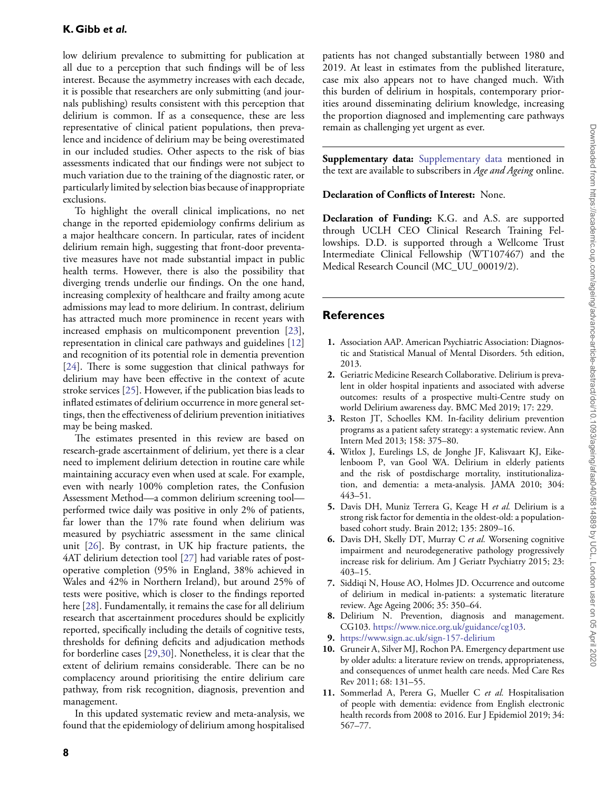low delirium prevalence to submitting for publication at all due to a perception that such findings will be of less interest. Because the asymmetry increases with each decade, it is possible that researchers are only submitting (and journals publishing) results consistent with this perception that delirium is common. If as a consequence, these are less representative of clinical patient populations, then prevalence and incidence of delirium may be being overestimated in our included studies. Other aspects to the risk of bias assessments indicated that our findings were not subject to much variation due to the training of the diagnostic rater, or particularly limited by selection bias because of inappropriate exclusions.

To highlight the overall clinical implications, no net change in the reported epidemiology confirms delirium as a major healthcare concern. In particular, rates of incident delirium remain high, suggesting that front-door preventative measures have not made substantial impact in public health terms. However, there is also the possibility that diverging trends underlie our findings. On the one hand, increasing complexity of healthcare and frailty among acute admissions may lead to more delirium. In contrast, delirium has attracted much more prominence in recent years with increased emphasis on multicomponent prevention [\[23\]](#page-8-11), representation in clinical care pathways and guidelines [\[12\]](#page-8-0) and recognition of its potential role in dementia prevention [\[24\]](#page-8-12). There is some suggestion that clinical pathways for delirium may have been effective in the context of acute stroke services [\[25\]](#page-8-13). However, if the publication bias leads to inflated estimates of delirium occurrence in more general settings, then the effectiveness of delirium prevention initiatives may be being masked.

The estimates presented in this review are based on research-grade ascertainment of delirium, yet there is a clear need to implement delirium detection in routine care while maintaining accuracy even when used at scale. For example, even with nearly 100% completion rates, the Confusion Assessment Method—a common delirium screening tool performed twice daily was positive in only 2% of patients, far lower than the 17% rate found when delirium was measured by psychiatric assessment in the same clinical unit [\[26\]](#page-8-14). By contrast, in UK hip fracture patients, the 4AT delirium detection tool [\[27\]](#page-8-15) had variable rates of postoperative completion (95% in England, 38% achieved in Wales and 42% in Northern Ireland), but around 25% of tests were positive, which is closer to the findings reported here [\[28\]](#page-8-16). Fundamentally, it remains the case for all delirium research that ascertainment procedures should be explicitly reported, specifically including the details of cognitive tests, thresholds for defining deficits and adjudication methods for borderline cases [\[29,](#page-8-17)[30\]](#page-8-18). Nonetheless, it is clear that the extent of delirium remains considerable. There can be no complacency around prioritising the entire delirium care pathway, from risk recognition, diagnosis, prevention and management.

In this updated systematic review and meta-analysis, we found that the epidemiology of delirium among hospitalised

patients has not changed substantially between 1980 and 2019. At least in estimates from the published literature, case mix also appears not to have changed much. With this burden of delirium in hospitals, contemporary priorities around disseminating delirium knowledge, increasing the proportion diagnosed and implementing care pathways remain as challenging yet urgent as ever.

**Supplementary data:** [Supplementary data](https://academic.oup.com/ageing/article-lookup/doi/10.1093/ageing/afaa040#supplementary-data) mentioned in the text are available to subscribers in *Age and Ageing* online.

## **Declaration of Conflicts of Interest:** None.

**Declaration of Funding:** K.G. and A.S. are supported through UCLH CEO Clinical Research Training Fellowships. D.D. is supported through a Wellcome Trust Intermediate Clinical Fellowship (WT107467) and the Medical Research Council (MC\_UU\_00019/2).

## **References**

- <span id="page-7-0"></span>**1.** Association AAP. American Psychiatric Association: Diagnostic and Statistical Manual of Mental Disorders. 5th edition, 2013.
- <span id="page-7-1"></span>**2.** Geriatric Medicine Research Collaborative. Delirium is prevalent in older hospital inpatients and associated with adverse outcomes: results of a prospective multi-Centre study on world Delirium awareness day. BMC Med 2019; 17: 229.
- <span id="page-7-2"></span>**3.** Reston JT, Schoelles KM. In-facility delirium prevention programs as a patient safety strategy: a systematic review. Ann Intern Med 2013; 158: 375–80.
- <span id="page-7-3"></span>**4.** Witlox J, Eurelings LS, de Jonghe JF, Kalisvaart KJ, Eikelenboom P, van Gool WA. Delirium in elderly patients and the risk of postdischarge mortality, institutionalization, and dementia: a meta-analysis. JAMA 2010; 304: 443–51.
- <span id="page-7-4"></span>**5.** Davis DH, Muniz Terrera G, Keage H *et al.* Delirium is a strong risk factor for dementia in the oldest-old: a populationbased cohort study. Brain 2012; 135: 2809–16.
- <span id="page-7-5"></span>**6.** Davis DH, Skelly DT, Murray C *et al.* Worsening cognitive impairment and neurodegenerative pathology progressively increase risk for delirium. Am J Geriatr Psychiatry 2015; 23: 403–15.
- <span id="page-7-6"></span>**7.** Siddiqi N, House AO, Holmes JD. Occurrence and outcome of delirium in medical in-patients: a systematic literature review. Age Ageing 2006; 35: 350–64.
- <span id="page-7-7"></span>**8.** Delirium N. Prevention, diagnosis and management. CG103. [https://www.nice.org.uk/guidance/cg103.](https://www.nice.org.uk/guidance/cg103)
- <span id="page-7-8"></span>**9.** <https://www.sign.ac.uk/sign-157-delirium>
- <span id="page-7-9"></span>**10.** Gruneir A, Silver MJ, Rochon PA. Emergency department use by older adults: a literature review on trends, appropriateness, and consequences of unmet health care needs. Med Care Res Rev 2011; 68: 131–55.
- <span id="page-7-10"></span>**11.** Sommerlad A, Perera G, Mueller C *et al.* Hospitalisation of people with dementia: evidence from English electronic health records from 2008 to 2016. Eur J Epidemiol 2019; 34: 567–77.